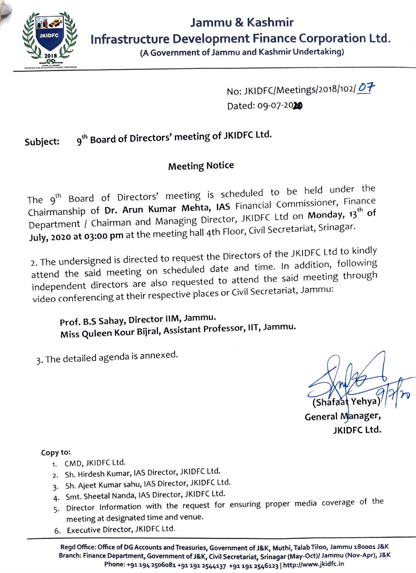

(A Government of Jammu and Kashmir Undertaking)

No: JKIDFC/Meetings/2018/102/07 Dated: 09-07-2020

## **Subject: 9th Board of Directors' meeting of JKIDFC Ltd.**

## **Meeting Notice**

The 9<sup>th</sup> Board of Directors' meeting is scheduled to be held under the Chairmanship of **Dr. Arun Kumar Mehta, IAS** Financial Commissioner, Finance **th**  Department / Chairman and Managing Director, JKIDFC Ltd on **Monday, <sup>13</sup> of July, 2020 at 03:00 pm** at the meeting hall 4th Floor, Civil Secretariat, Srinagar.

2. The undersigned is directed to request the Directors of the JKIDFC Ltd to kindly attend the said meeting on scheduled date and time. In addition, following independent directors are also requested to attend the said meeting through video conferencing at their respective places or Civil Secretariat, Jammu:

**Prof. B.S Sahay, Director IIM, Jammu. Miss Quleen Kour Bijral, Assistant Professor,** IIT, **Jammu.** 

3. The detailed agenda is annexed.

(Shafaat Yehy

**General Manager, JKIDFC Ltd.** 

## Copy to:

- 1. CMD, JKIDFC Ltd.
- 2. Sh. Hirdesh Kumar, IAS Director, JKIDFC Ltd.
- 3. Sh. Ajeet Kumar sahu, IAS Director, JKIDFC Ltd.
- 4. Smt. Sheetal Nanda, IAS Director, JKIDFC Ltd.
- 5. Director Information with the request for ensuring proper media coverage of the meeting at designated time and venue.
- 6. Executive Director, JKIDFC Ltd.

**Regd Office: Office of DG Accounts and Treasuries Branch: Finance Department Gov f 'Government of J&K, Muthi, Talab Tiloo, Jammu 18ooo1 J&K** : Department, Government of J&K, Civil Secretariat, Srinagar (May-Oct)/ Jammu (Nov-Apr), J&K 91 194 2506081 **91 191 2544137 +91191 25461<sup>23</sup>**I **http://www.jkidfc.i<sup>n</sup>**